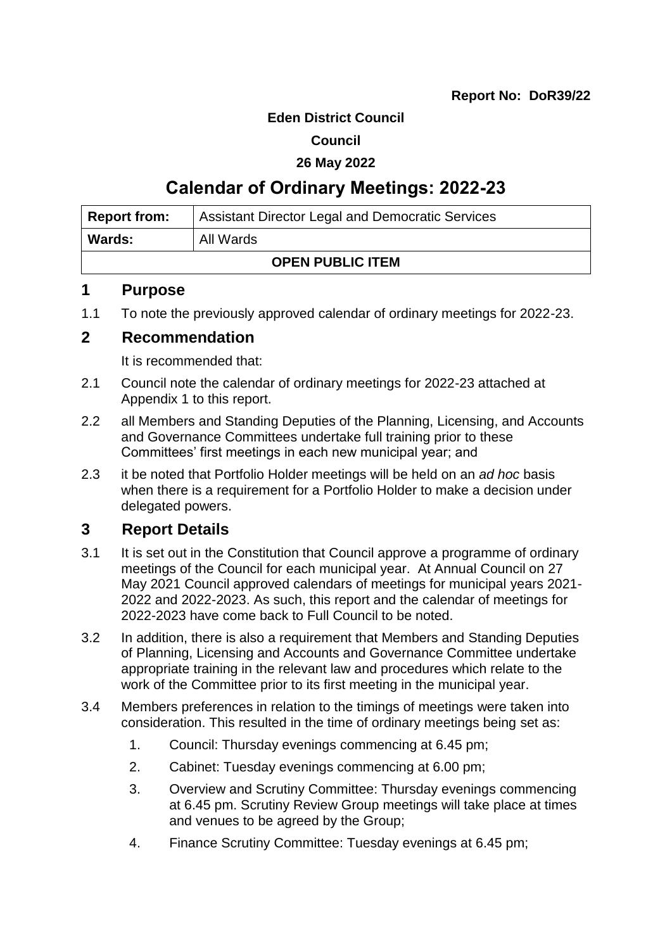#### **Eden District Council**

#### **Council**

#### **26 May 2022**

## **Calendar of Ordinary Meetings: 2022-23**

| Report from:            | <b>Assistant Director Legal and Democratic Services</b> |  |  |  |
|-------------------------|---------------------------------------------------------|--|--|--|
| <b>Wards:</b>           | All Wards                                               |  |  |  |
| <b>OPEN PUBLIC ITEM</b> |                                                         |  |  |  |

#### **1 Purpose**

1.1 To note the previously approved calendar of ordinary meetings for 2022-23.

#### **2 Recommendation**

It is recommended that:

- 2.1 Council note the calendar of ordinary meetings for 2022-23 attached at Appendix 1 to this report.
- 2.2 all Members and Standing Deputies of the Planning, Licensing, and Accounts and Governance Committees undertake full training prior to these Committees' first meetings in each new municipal year; and
- 2.3 it be noted that Portfolio Holder meetings will be held on an *ad hoc* basis when there is a requirement for a Portfolio Holder to make a decision under delegated powers.

#### **3 Report Details**

- 3.1 It is set out in the Constitution that Council approve a programme of ordinary meetings of the Council for each municipal year. At Annual Council on 27 May 2021 Council approved calendars of meetings for municipal years 2021- 2022 and 2022-2023. As such, this report and the calendar of meetings for 2022-2023 have come back to Full Council to be noted.
- 3.2 In addition, there is also a requirement that Members and Standing Deputies of Planning, Licensing and Accounts and Governance Committee undertake appropriate training in the relevant law and procedures which relate to the work of the Committee prior to its first meeting in the municipal year.
- 3.4 Members preferences in relation to the timings of meetings were taken into consideration. This resulted in the time of ordinary meetings being set as:
	- 1. Council: Thursday evenings commencing at 6.45 pm;
	- 2. Cabinet: Tuesday evenings commencing at 6.00 pm;
	- 3. Overview and Scrutiny Committee: Thursday evenings commencing at 6.45 pm. Scrutiny Review Group meetings will take place at times and venues to be agreed by the Group;
	- 4. Finance Scrutiny Committee: Tuesday evenings at 6.45 pm;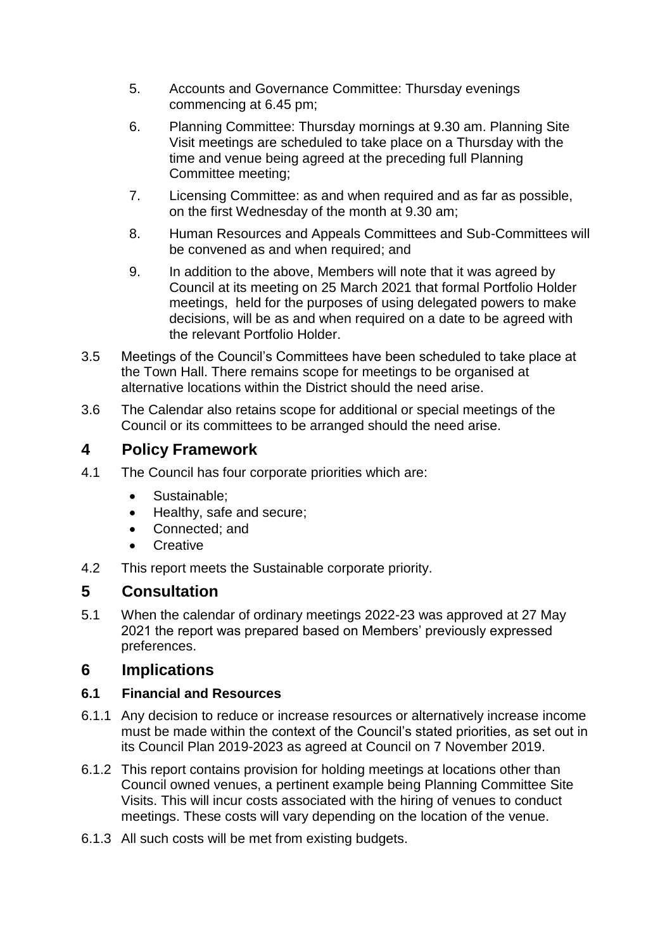- 5. Accounts and Governance Committee: Thursday evenings commencing at 6.45 pm;
- 6. Planning Committee: Thursday mornings at 9.30 am. Planning Site Visit meetings are scheduled to take place on a Thursday with the time and venue being agreed at the preceding full Planning Committee meeting;
- 7. Licensing Committee: as and when required and as far as possible, on the first Wednesday of the month at 9.30 am;
- 8. Human Resources and Appeals Committees and Sub-Committees will be convened as and when required; and
- 9. In addition to the above, Members will note that it was agreed by Council at its meeting on 25 March 2021 that formal Portfolio Holder meetings, held for the purposes of using delegated powers to make decisions, will be as and when required on a date to be agreed with the relevant Portfolio Holder.
- 3.5 Meetings of the Council's Committees have been scheduled to take place at the Town Hall. There remains scope for meetings to be organised at alternative locations within the District should the need arise.
- 3.6 The Calendar also retains scope for additional or special meetings of the Council or its committees to be arranged should the need arise.

## **4 Policy Framework**

- 4.1 The Council has four corporate priorities which are:
	- Sustainable;
	- Healthy, safe and secure;
	- Connected; and
	- **Creative**
- 4.2 This report meets the Sustainable corporate priority.

## **5 Consultation**

5.1 When the calendar of ordinary meetings 2022-23 was approved at 27 May 2021 the report was prepared based on Members' previously expressed preferences.

## **6 Implications**

#### **6.1 Financial and Resources**

- 6.1.1 Any decision to reduce or increase resources or alternatively increase income must be made within the context of the Council's stated priorities, as set out in its Council Plan 2019-2023 as agreed at Council on 7 November 2019.
- 6.1.2 This report contains provision for holding meetings at locations other than Council owned venues, a pertinent example being Planning Committee Site Visits. This will incur costs associated with the hiring of venues to conduct meetings. These costs will vary depending on the location of the venue.
- 6.1.3 All such costs will be met from existing budgets.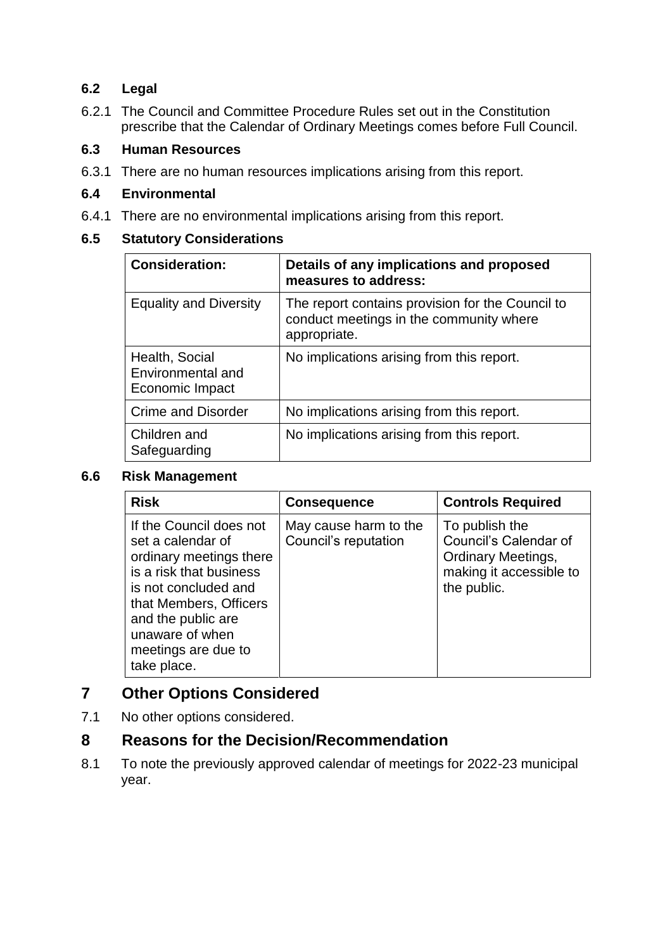#### **6.2 Legal**

6.2.1 The Council and Committee Procedure Rules set out in the Constitution prescribe that the Calendar of Ordinary Meetings comes before Full Council.

#### **6.3 Human Resources**

6.3.1 There are no human resources implications arising from this report.

#### **6.4 Environmental**

6.4.1 There are no environmental implications arising from this report.

#### **6.5 Statutory Considerations**

| <b>Consideration:</b>                                  | Details of any implications and proposed<br>measures to address:                                            |
|--------------------------------------------------------|-------------------------------------------------------------------------------------------------------------|
| <b>Equality and Diversity</b>                          | The report contains provision for the Council to<br>conduct meetings in the community where<br>appropriate. |
| Health, Social<br>Environmental and<br>Economic Impact | No implications arising from this report.                                                                   |
| <b>Crime and Disorder</b>                              | No implications arising from this report.                                                                   |
| Children and<br>Safeguarding                           | No implications arising from this report.                                                                   |

#### **6.6 Risk Management**

| <b>Risk</b>                                                                                                                                                                                                                         | <b>Consequence</b>                            | <b>Controls Required</b>                                                                                       |
|-------------------------------------------------------------------------------------------------------------------------------------------------------------------------------------------------------------------------------------|-----------------------------------------------|----------------------------------------------------------------------------------------------------------------|
| If the Council does not<br>set a calendar of<br>ordinary meetings there<br>is a risk that business<br>is not concluded and<br>that Members, Officers<br>and the public are<br>unaware of when<br>meetings are due to<br>take place. | May cause harm to the<br>Council's reputation | To publish the<br>Council's Calendar of<br><b>Ordinary Meetings,</b><br>making it accessible to<br>the public. |

## **7 Other Options Considered**

7.1 No other options considered.

### **8 Reasons for the Decision/Recommendation**

8.1 To note the previously approved calendar of meetings for 2022-23 municipal year.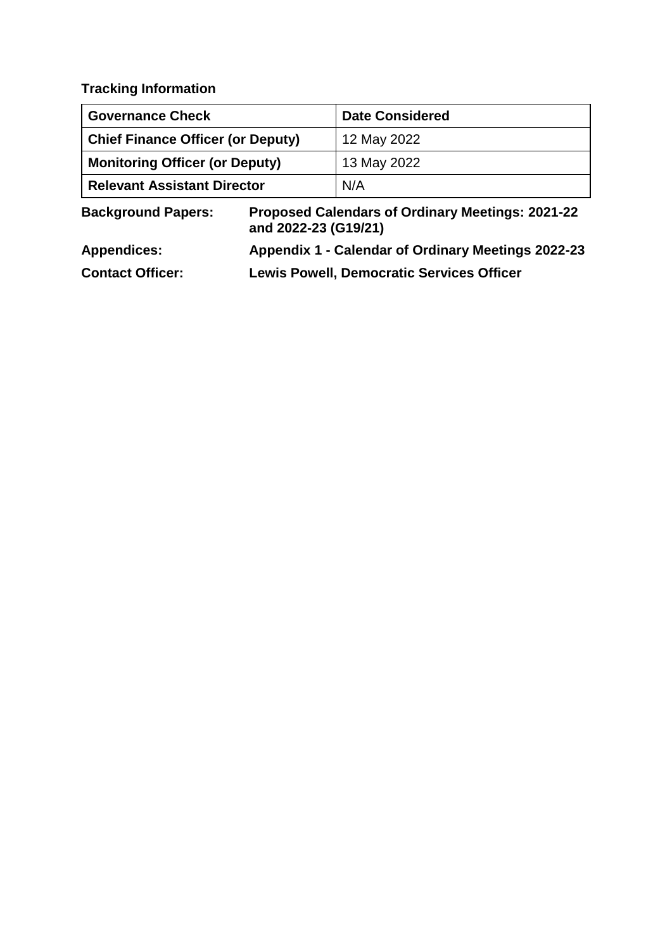**Tracking Information**

| <b>Governance Check</b>                  | <b>Date Considered</b> |  |  |
|------------------------------------------|------------------------|--|--|
| <b>Chief Finance Officer (or Deputy)</b> | 12 May 2022            |  |  |
| Monitoring Officer (or Deputy)           | 13 May 2022            |  |  |
| Relevant Assistant Director              | N/A                    |  |  |

**Background Papers: Proposed Calendars of Ordinary Meetings: 2021-22 and 2022-23 (G19/21)**

| <b>Appendices:</b>      | Appendix 1 - Calendar of Ordinary Meetings 2022-23 |
|-------------------------|----------------------------------------------------|
| <b>Contact Officer:</b> | <b>Lewis Powell, Democratic Services Officer</b>   |